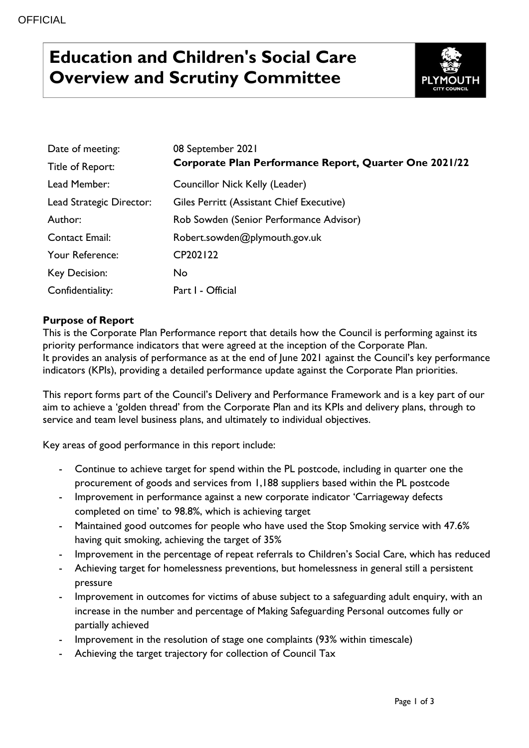# **Education and Children's Social Care Overview and Scrutiny Committee**



| Date of meeting:         | 08 September 2021                                      |
|--------------------------|--------------------------------------------------------|
| Title of Report:         | Corporate Plan Performance Report, Quarter One 2021/22 |
| Lead Member:             | Councillor Nick Kelly (Leader)                         |
| Lead Strategic Director: | Giles Perritt (Assistant Chief Executive)              |
| Author:                  | Rob Sowden (Senior Performance Advisor)                |
| Contact Email:           | Robert.sowden@plymouth.gov.uk                          |
| Your Reference:          | CP202122                                               |
| Key Decision:            | No.                                                    |
| Confidentiality:         | Part I - Official                                      |

## **Purpose of Report**

This is the Corporate Plan Performance report that details how the Council is performing against its priority performance indicators that were agreed at the inception of the Corporate Plan. It provides an analysis of performance as at the end of June 2021 against the Council's key performance indicators (KPIs), providing a detailed performance update against the Corporate Plan priorities.

This report forms part of the Council's Delivery and Performance Framework and is a key part of our aim to achieve a 'golden thread' from the Corporate Plan and its KPIs and delivery plans, through to service and team level business plans, and ultimately to individual objectives.

Key areas of good performance in this report include:

- Continue to achieve target for spend within the PL postcode, including in quarter one the procurement of goods and services from 1,188 suppliers based within the PL postcode
- Improvement in performance against a new corporate indicator 'Carriageway defects completed on time' to 98.8%, which is achieving target
- Maintained good outcomes for people who have used the Stop Smoking service with 47.6% having quit smoking, achieving the target of 35%
- Improvement in the percentage of repeat referrals to Children's Social Care, which has reduced
- Achieving target for homelessness preventions, but homelessness in general still a persistent pressure
- Improvement in outcomes for victims of abuse subject to a safeguarding adult enquiry, with an increase in the number and percentage of Making Safeguarding Personal outcomes fully or partially achieved
- Improvement in the resolution of stage one complaints (93% within timescale)
- Achieving the target trajectory for collection of Council Tax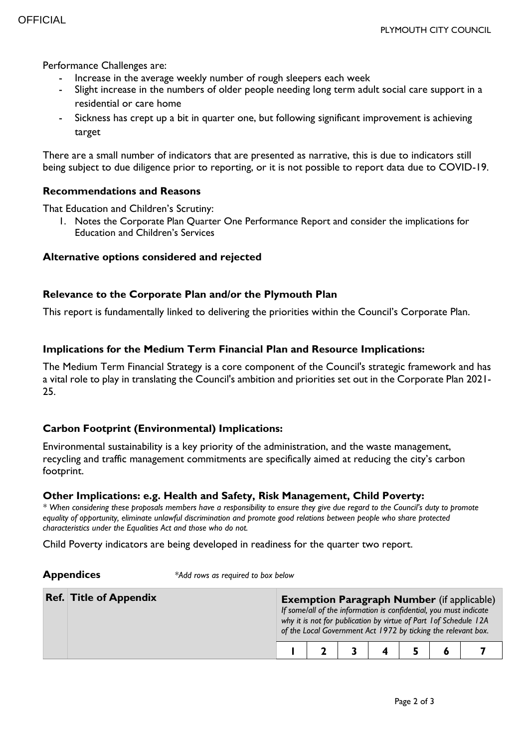Performance Challenges are:

- Increase in the average weekly number of rough sleepers each week
- Slight increase in the numbers of older people needing long term adult social care support in a residential or care home
- Sickness has crept up a bit in quarter one, but following significant improvement is achieving target

There are a small number of indicators that are presented as narrative, this is due to indicators still being subject to due diligence prior to reporting, or it is not possible to report data due to COVID-19.

### **Recommendations and Reasons**

That Education and Children's Scrutiny:

1. Notes the Corporate Plan Quarter One Performance Report and consider the implications for Education and Children's Services

### **Alternative options considered and rejected**

### **Relevance to the Corporate Plan and/or the Plymouth Plan**

This report is fundamentally linked to delivering the priorities within the Council's Corporate Plan.

### **Implications for the Medium Term Financial Plan and Resource Implications:**

The Medium Term Financial Strategy is a core component of the Council's strategic framework and has a vital role to play in translating the Council's ambition and priorities set out in the Corporate Plan 2021- 25.

### **Carbon Footprint (Environmental) Implications:**

Environmental sustainability is a key priority of the administration, and the waste management, recycling and traffic management commitments are specifically aimed at reducing the city's carbon footprint.

#### **Other Implications: e.g. Health and Safety, Risk Management, Child Poverty:**

*\* When considering these proposals members have a responsibility to ensure they give due regard to the Council's duty to promote equality of opportunity, eliminate unlawful discrimination and promote good relations between people who share protected characteristics under the Equalities Act and those who do not.*

Child Poverty indicators are being developed in readiness for the quarter two report.

**Appendices** *\*Add rows as required to box below*

| <b>Ref. Title of Appendix</b> |  |  | If some/all of the information is confidential, you must indicate<br>why it is not for publication by virtue of Part 1 of Schedule 12A | <b>Exemption Paragraph Number</b> (if applicable)<br>of the Local Government Act 1972 by ticking the relevant box. |
|-------------------------------|--|--|----------------------------------------------------------------------------------------------------------------------------------------|--------------------------------------------------------------------------------------------------------------------|
|                               |  |  |                                                                                                                                        |                                                                                                                    |